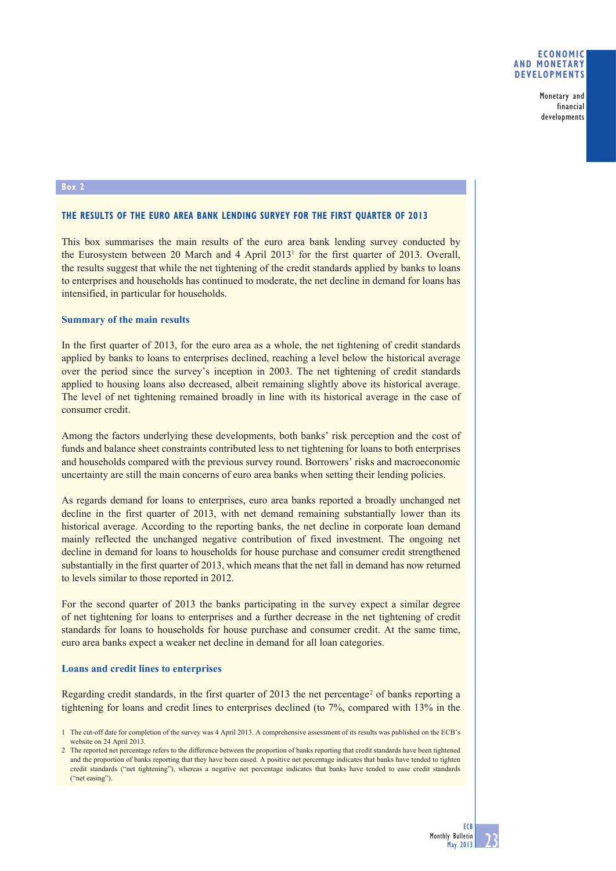Monetary and financial developments

#### **Box 2**

## **THE RESULTS OF THE EURO AREA BANK LENDING SURVEY FOR THE FIRST QUARTER OF 2013**

This box summarises the main results of the euro area bank lending survey conducted by the Eurosystem between 20 March and 4 April 20131 for the first quarter of 2013. Overall, the results suggest that while the net tightening of the credit standards applied by banks to loans to enterprises and households has continued to moderate, the net decline in demand for loans has intensified, in particular for households.

# **Summary of the main results**

In the first quarter of 2013, for the euro area as a whole, the net tightening of credit standards applied by banks to loans to enterprises declined, reaching a level below the historical average over the period since the survey's inception in 2003. The net tightening of credit standards applied to housing loans also decreased, albeit remaining slightly above its historical average. The level of net tightening remained broadly in line with its historical average in the case of consumer credit.

Among the factors underlying these developments, both banks' risk perception and the cost of funds and balance sheet constraints contributed less to net tightening for loans to both enterprises and households compared with the previous survey round. Borrowers' risks and macroeconomic uncertainty are still the main concerns of euro area banks when setting their lending policies.

As regards demand for loans to enterprises, euro area banks reported a broadly unchanged net decline in the first quarter of 2013, with net demand remaining substantially lower than its historical average. According to the reporting banks, the net decline in corporate loan demand mainly reflected the unchanged negative contribution of fixed investment. The ongoing net decline in demand for loans to households for house purchase and consumer credit strengthened substantially in the first quarter of 2013, which means that the net fall in demand has now returned to levels similar to those reported in 2012.

For the second quarter of 2013 the banks participating in the survey expect a similar degree of net tightening for loans to enterprises and a further decrease in the net tightening of credit standards for loans to households for house purchase and consumer credit. At the same time, euro area banks expect a weaker net decline in demand for all loan categories.

## **Loans and credit lines to enterprises**

Regarding credit standards, in the first quarter of 2013 the net percentage<sup>2</sup> of banks reporting a tightening for loans and credit lines to enterprises declined (to 7%, compared with 13% in the

<sup>2</sup> The reported net percentage refers to the difference between the proportion of banks reporting that credit standards have been tightened and the proportion of banks reporting that they have been eased. A positive net percentage indicates that banks have tended to tighten credit standards ("net tightening"), whereas a negative net percentage indicates that banks have tended to ease credit standards ("net easing").



<sup>1</sup> The cut-off date for completion of the survey was 4 April 2013. A comprehensive assessment of its results was published on the ECB's website on 24 April 2013.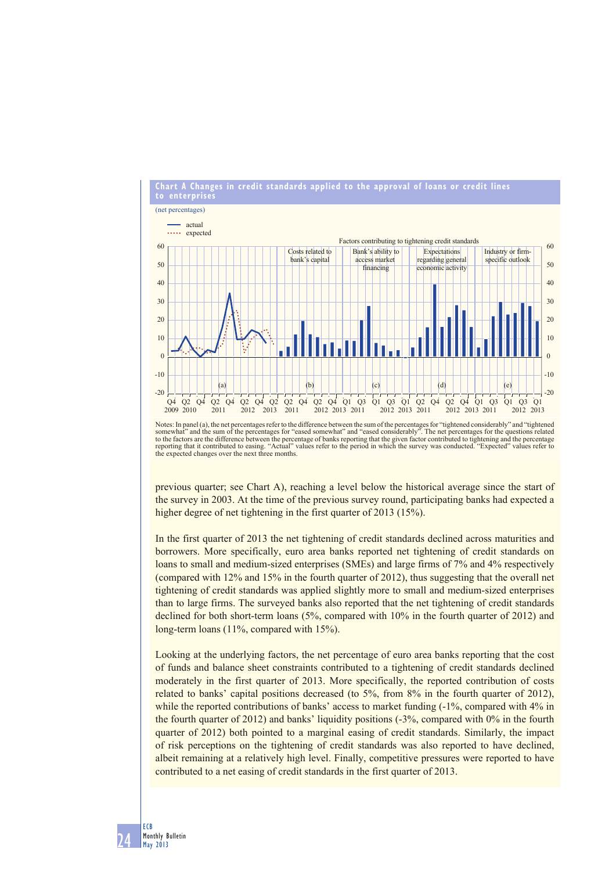

Notes: In panel (a), the net percentages refer to the difference between the sum of the percentages for "tightened considerably" and "tightened somewhat" and the sum of the percentages for "eased somewhat" and "eased considerably". The net percentages for the questions related<br>to the factors are the difference between the percentage of banks reporting that the giv the expected changes over the next three months.

previous quarter; see Chart A), reaching a level below the historical average since the start of the survey in 2003. At the time of the previous survey round, participating banks had expected a higher degree of net tightening in the first quarter of 2013 (15%).

In the first quarter of 2013 the net tightening of credit standards declined across maturities and borrowers. More specifically, euro area banks reported net tightening of credit standards on loans to small and medium-sized enterprises (SMEs) and large firms of 7% and 4% respectively (compared with 12% and 15% in the fourth quarter of 2012), thus suggesting that the overall net tightening of credit standards was applied slightly more to small and medium-sized enterprises than to large firms. The surveyed banks also reported that the net tightening of credit standards declined for both short-term loans (5%, compared with 10% in the fourth quarter of 2012) and long-term loans (11%, compared with 15%).

Looking at the underlying factors, the net percentage of euro area banks reporting that the cost of funds and balance sheet constraints contributed to a tightening of credit standards declined moderately in the first quarter of 2013. More specifically, the reported contribution of costs related to banks' capital positions decreased (to 5%, from 8% in the fourth quarter of 2012), while the reported contributions of banks' access to market funding  $(-1)$ %, compared with  $4\%$  in the fourth quarter of 2012) and banks' liquidity positions (-3%, compared with 0% in the fourth quarter of 2012) both pointed to a marginal easing of credit standards. Similarly, the impact of risk perceptions on the tightening of credit standards was also reported to have declined, albeit remaining at a relatively high level. Finally, competitive pressures were reported to have contributed to a net easing of credit standards in the first quarter of 2013.

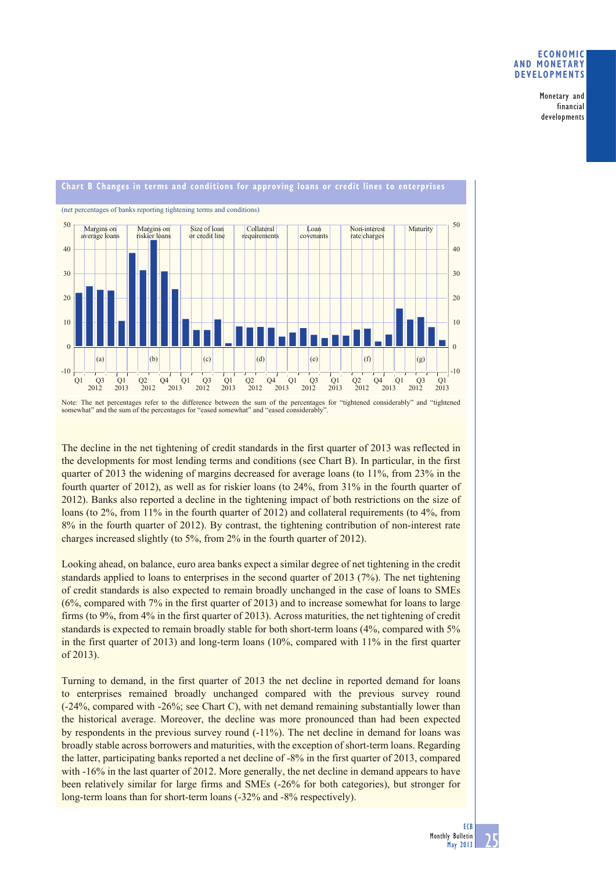# **ECONOMIC AND MONETARY DEVELOPMENTS**

Monetary and financial developments



Note: The net percentages refer to the difference between the sum of the percentages for "tightened considerably" and "tightened somewhat" and the sum of the percentages for "eased somewhat" and "eased considerably".

The decline in the net tightening of credit standards in the first quarter of 2013 was reflected in the developments for most lending terms and conditions (see Chart B). In particular, in the first quarter of 2013 the widening of margins decreased for average loans (to 11%, from 23% in the fourth quarter of 2012), as well as for riskier loans (to 24%, from 31% in the fourth quarter of 2012). Banks also reported a decline in the tightening impact of both restrictions on the size of loans (to 2%, from 11% in the fourth quarter of 2012) and collateral requirements (to 4%, from 8% in the fourth quarter of 2012). By contrast, the tightening contribution of non-interest rate charges increased slightly (to 5%, from 2% in the fourth quarter of 2012).

Looking ahead, on balance, euro area banks expect a similar degree of net tightening in the credit standards applied to loans to enterprises in the second quarter of 2013 (7%). The net tightening of credit standards is also expected to remain broadly unchanged in the case of loans to SMEs (6%, compared with 7% in the first quarter of 2013) and to increase somewhat for loans to large firms (to 9%, from 4% in the first quarter of 2013). Across maturities, the net tightening of credit standards is expected to remain broadly stable for both short-term loans (4%, compared with 5% in the first quarter of 2013) and long-term loans (10%, compared with 11% in the first quarter of 2013).

Turning to demand, in the first quarter of 2013 the net decline in reported demand for loans to enterprises remained broadly unchanged compared with the previous survey round (-24%, compared with -26%; see Chart C), with net demand remaining substantially lower than the historical average. Moreover, the decline was more pronounced than had been expected by respondents in the previous survey round (-11%). The net decline in demand for loans was broadly stable across borrowers and maturities, with the exception of short-term loans. Regarding the latter, participating banks reported a net decline of -8% in the first quarter of 2013, compared with -16% in the last quarter of 2012. More generally, the net decline in demand appears to have been relatively similar for large firms and SMEs (-26% for both categories), but stronger for long-term loans than for short-term loans (-32% and -8% respectively).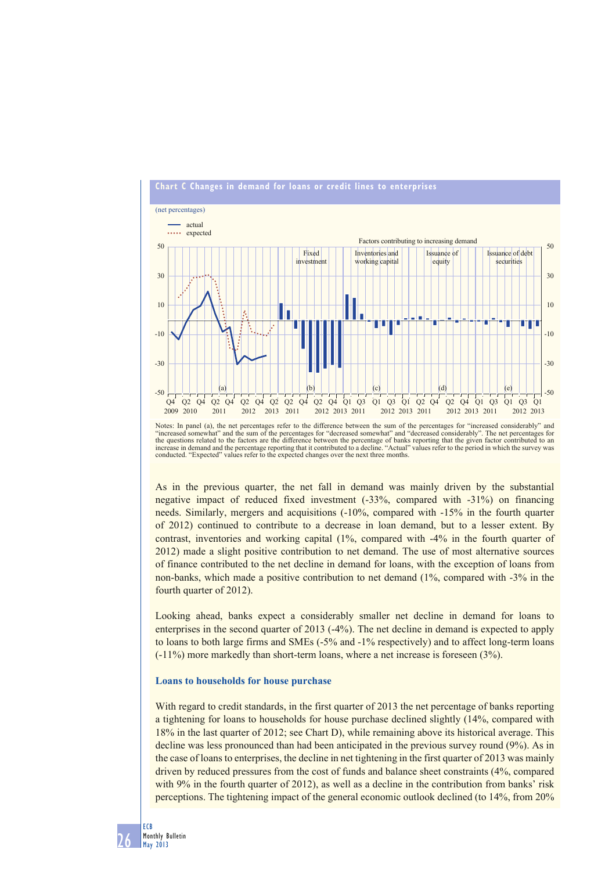

Notes: In panel (a), the net percentages refer to the difference between the sum of the percentages for "increased considerably" and "increased somewhat" and the sum of the percentages for "decreased somewhat" and "decreased considerably". The net percentages for<br>the questions related to the factors are the difference between the percentage of banks rep conducted. "Expected" values refer to the expected changes over the next three months.

As in the previous quarter, the net fall in demand was mainly driven by the substantial negative impact of reduced fixed investment (-33%, compared with -31%) on financing needs. Similarly, mergers and acquisitions (-10%, compared with -15% in the fourth quarter of 2012) continued to contribute to a decrease in loan demand, but to a lesser extent. By contrast, inventories and working capital (1%, compared with -4% in the fourth quarter of 2012) made a slight positive contribution to net demand. The use of most alternative sources of finance contributed to the net decline in demand for loans, with the exception of loans from non-banks, which made a positive contribution to net demand (1%, compared with -3% in the fourth quarter of 2012).

Looking ahead, banks expect a considerably smaller net decline in demand for loans to enterprises in the second quarter of 2013 (-4%). The net decline in demand is expected to apply to loans to both large firms and SMEs (-5% and -1% respectively) and to affect long-term loans (-11%) more markedly than short-term loans, where a net increase is foreseen (3%).

#### **Loans to households for house purchase**

With regard to credit standards, in the first quarter of 2013 the net percentage of banks reporting a tightening for loans to households for house purchase declined slightly (14%, compared with 18% in the last quarter of 2012; see Chart D), while remaining above its historical average. This decline was less pronounced than had been anticipated in the previous survey round (9%). As in the case of loans to enterprises, the decline in net tightening in the first quarter of 2013 was mainly driven by reduced pressures from the cost of funds and balance sheet constraints (4%, compared with 9% in the fourth quarter of 2012), as well as a decline in the contribution from banks' risk perceptions. The tightening impact of the general economic outlook declined (to 14%, from 20%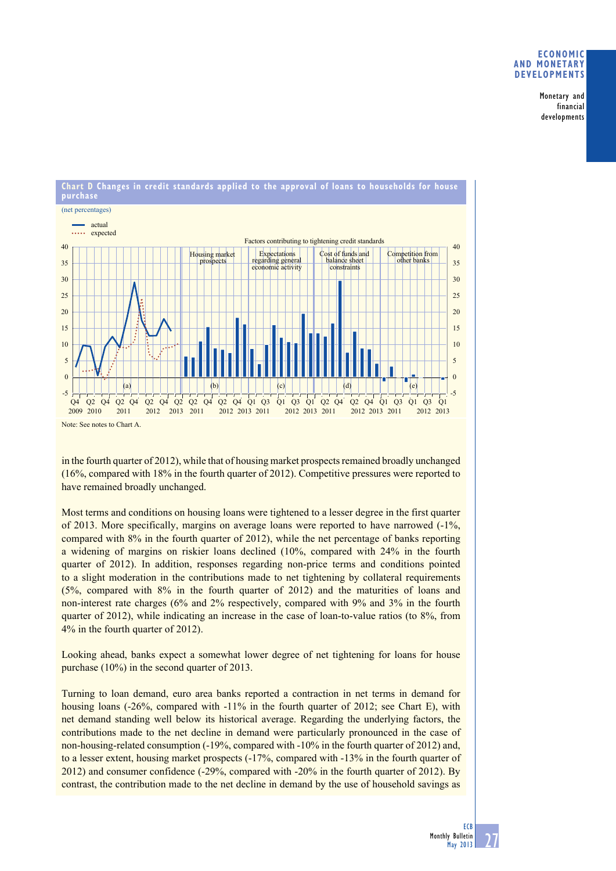# **ECONOMIC ANd MONETARy dEvElOPMENTS**

Monetary and financial developments



in the fourth quarter of 2012), while that of housing market prospects remained broadly unchanged (16%, compared with 18% in the fourth quarter of 2012). Competitive pressures were reported to

have remained broadly unchanged.

Most terms and conditions on housing loans were tightened to a lesser degree in the first quarter of 2013. More specifically, margins on average loans were reported to have narrowed (-1%, compared with 8% in the fourth quarter of 2012), while the net percentage of banks reporting a widening of margins on riskier loans declined (10%, compared with 24% in the fourth quarter of 2012). In addition, responses regarding non-price terms and conditions pointed to a slight moderation in the contributions made to net tightening by collateral requirements (5%, compared with 8% in the fourth quarter of 2012) and the maturities of loans and non-interest rate charges (6% and 2% respectively, compared with 9% and 3% in the fourth quarter of 2012), while indicating an increase in the case of loan-to-value ratios (to 8%, from 4% in the fourth quarter of 2012).

Looking ahead, banks expect a somewhat lower degree of net tightening for loans for house purchase (10%) in the second quarter of 2013.

Turning to loan demand, euro area banks reported a contraction in net terms in demand for housing loans (-26%, compared with -11% in the fourth quarter of 2012; see Chart E), with net demand standing well below its historical average. Regarding the underlying factors, the contributions made to the net decline in demand were particularly pronounced in the case of non-housing-related consumption (-19%, compared with -10% in the fourth quarter of 2012) and, to a lesser extent, housing market prospects (-17%, compared with -13% in the fourth quarter of 2012) and consumer confidence (-29%, compared with -20% in the fourth quarter of 2012). By contrast, the contribution made to the net decline in demand by the use of household savings as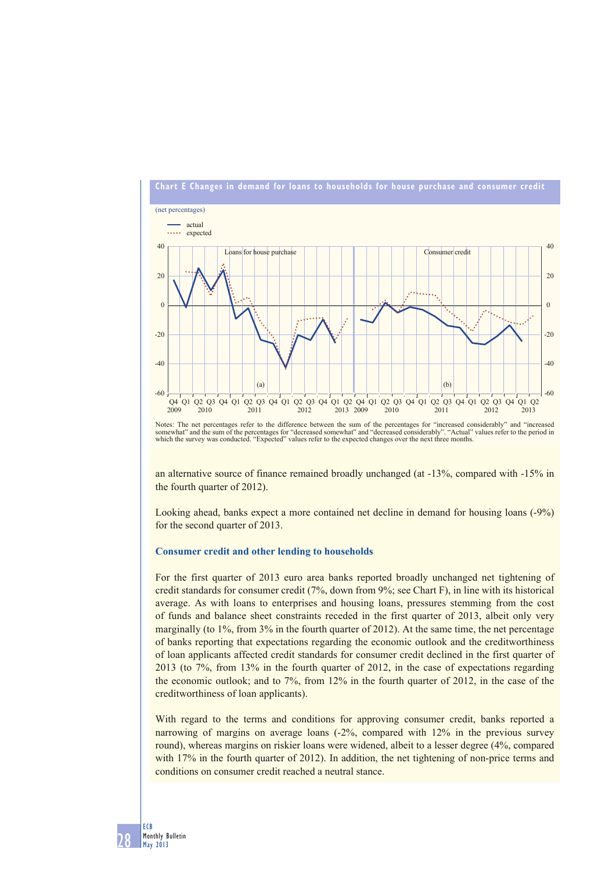

Notes: The net percentages refer to the difference between the sum of the percentages for "increased considerably" and "increased<br>somewhat" and the sum of the percentages for "decreased somewhat" and "decreased considerabl

an alternative source of finance remained broadly unchanged (at -13%, compared with -15% in the fourth quarter of 2012).

Looking ahead, banks expect a more contained net decline in demand for housing loans (-9%) for the second quarter of 2013.

### **Consumer credit and other lending to households**

For the first quarter of 2013 euro area banks reported broadly unchanged net tightening of credit standards for consumer credit (7%, down from 9%; see Chart F), in line with its historical average. As with loans to enterprises and housing loans, pressures stemming from the cost of funds and balance sheet constraints receded in the first quarter of 2013, albeit only very marginally (to  $1\%$ , from  $3\%$  in the fourth quarter of 2012). At the same time, the net percentage of banks reporting that expectations regarding the economic outlook and the creditworthiness of loan applicants affected credit standards for consumer credit declined in the first quarter of 2013 (to 7%, from 13% in the fourth quarter of 2012, in the case of expectations regarding the economic outlook; and to 7%, from 12% in the fourth quarter of 2012, in the case of the creditworthiness of loan applicants).

With regard to the terms and conditions for approving consumer credit, banks reported a narrowing of margins on average loans (-2%, compared with 12% in the previous survey round), whereas margins on riskier loans were widened, albeit to a lesser degree (4%, compared with 17% in the fourth quarter of 2012). In addition, the net tightening of non-price terms and conditions on consumer credit reached a neutral stance.

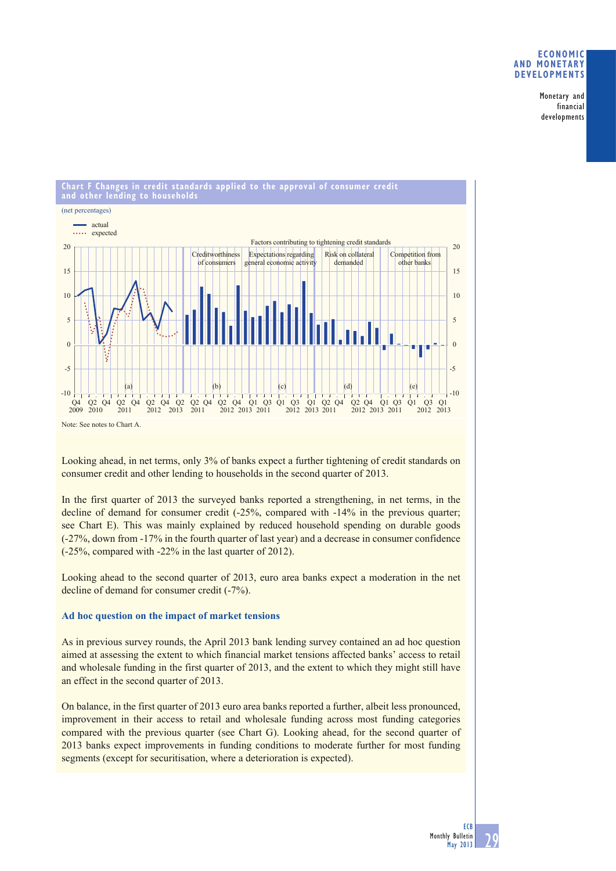# **ECONOMIC AND MONETARY DEVELOPMENTS**

Monetary and financial developments



Looking ahead, in net terms, only 3% of banks expect a further tightening of credit standards on consumer credit and other lending to households in the second quarter of 2013.

In the first quarter of 2013 the surveyed banks reported a strengthening, in net terms, in the decline of demand for consumer credit (-25%, compared with -14% in the previous quarter; see Chart E). This was mainly explained by reduced household spending on durable goods (-27%, down from -17% in the fourth quarter of last year) and a decrease in consumer confidence (-25%, compared with -22% in the last quarter of 2012).

Looking ahead to the second quarter of 2013, euro area banks expect a moderation in the net decline of demand for consumer credit (-7%).

# **Ad hoc question on the impact of market tensions**

As in previous survey rounds, the April 2013 bank lending survey contained an ad hoc question aimed at assessing the extent to which financial market tensions affected banks' access to retail and wholesale funding in the first quarter of 2013, and the extent to which they might still have an effect in the second quarter of 2013.

On balance, in the first quarter of 2013 euro area banks reported a further, albeit less pronounced, improvement in their access to retail and wholesale funding across most funding categories compared with the previous quarter (see Chart G). Looking ahead, for the second quarter of 2013 banks expect improvements in funding conditions to moderate further for most funding segments (except for securitisation, where a deterioration is expected).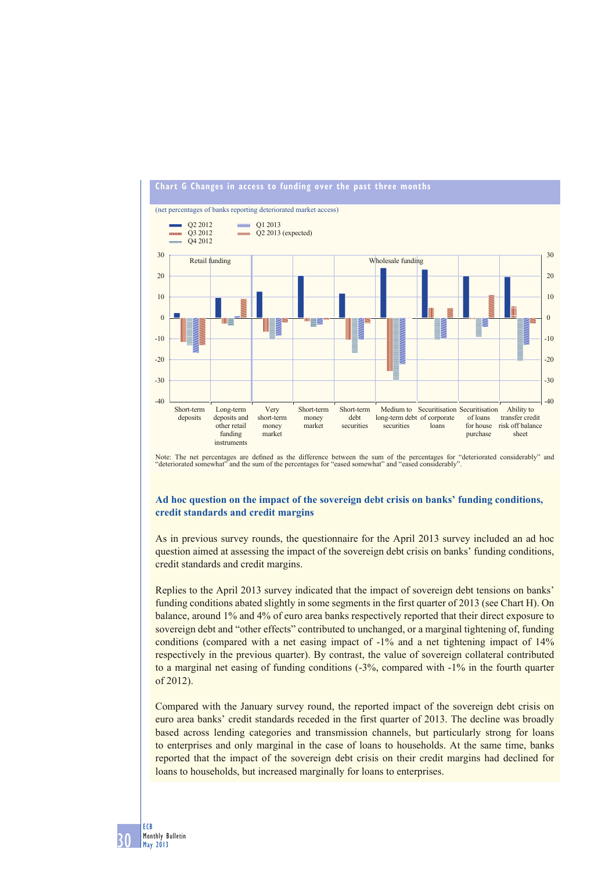

Note: The net percentages are defined as the difference between the sum of the percentages for "deteriorated considerably" and "deteriorated somewhat" and the sum of the percentages for "eased somewhat" and "eased considerably".

# **Ad hoc question on the impact of the sovereign debt crisis on banks' funding conditions, credit standards and credit margins**

As in previous survey rounds, the questionnaire for the April 2013 survey included an ad hoc question aimed at assessing the impact of the sovereign debt crisis on banks' funding conditions, credit standards and credit margins.

Replies to the April 2013 survey indicated that the impact of sovereign debt tensions on banks' funding conditions abated slightly in some segments in the first quarter of 2013 (see Chart H). On balance, around 1% and 4% of euro area banks respectively reported that their direct exposure to sovereign debt and "other effects" contributed to unchanged, or a marginal tightening of, funding conditions (compared with a net easing impact of -1% and a net tightening impact of 14% respectively in the previous quarter). By contrast, the value of sovereign collateral contributed to a marginal net easing of funding conditions (-3%, compared with -1% in the fourth quarter of 2012).

Compared with the January survey round, the reported impact of the sovereign debt crisis on euro area banks' credit standards receded in the first quarter of 2013. The decline was broadly based across lending categories and transmission channels, but particularly strong for loans to enterprises and only marginal in the case of loans to households. At the same time, banks reported that the impact of the sovereign debt crisis on their credit margins had declined for loans to households, but increased marginally for loans to enterprises.